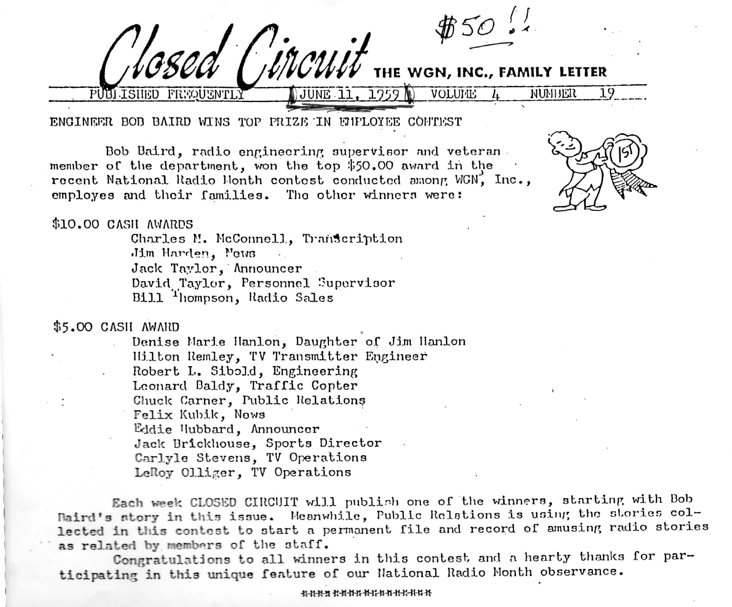I ISHED FRYQUENTLY VOLUME 4 NUMBER 19

ENGINEER BOB BAIRD WINS TOP PRIZE IN EMPLOYEE CONTEST

Dob Daird, radio engineering supervisor and veteran member of the department, won the top \$50.00 award in the recent National Radio Month contest conducted among WGN, Inc., employes and their families. The other winners were:

'incu



**THE WON, INC., FAMILY LETTER**

## \$10.00 CASH AWARDS

Charles M. McConnell, Transcription Jim Harden, News Jack Taylor, Announcer David Taylor, Personnel Supervisor Bill Thompson, Radio Sales

\$5.00 CASH AWARD

Denise Marie Ilanlon, Daughter of Jim Ilanlon Hilton Remley, TV Transmitter Engineer Robert L. Sibo].d, Engineering Leonard Daldy, Traffic Copter Chuck Carner, Public Relations Felix Kubik, News Eddie Hubbard, Announcer Jaclc Urickhouse, Sports Director Carlylo Stevens, TV Operations LeRoy Olliger, TV Operations

Each week CLOSED CIRCUIT will publish one of the winners, starting with Bob Naird's story in this issue. Meanwhile, Public Relations is using the stories collected in this contest to start a permanent file and record of amusing radio stories as related by members of the staff.

Congratulations to all winners in this contest and a hearty thanks for participating in this unique feature of cur National Radio Month observance.